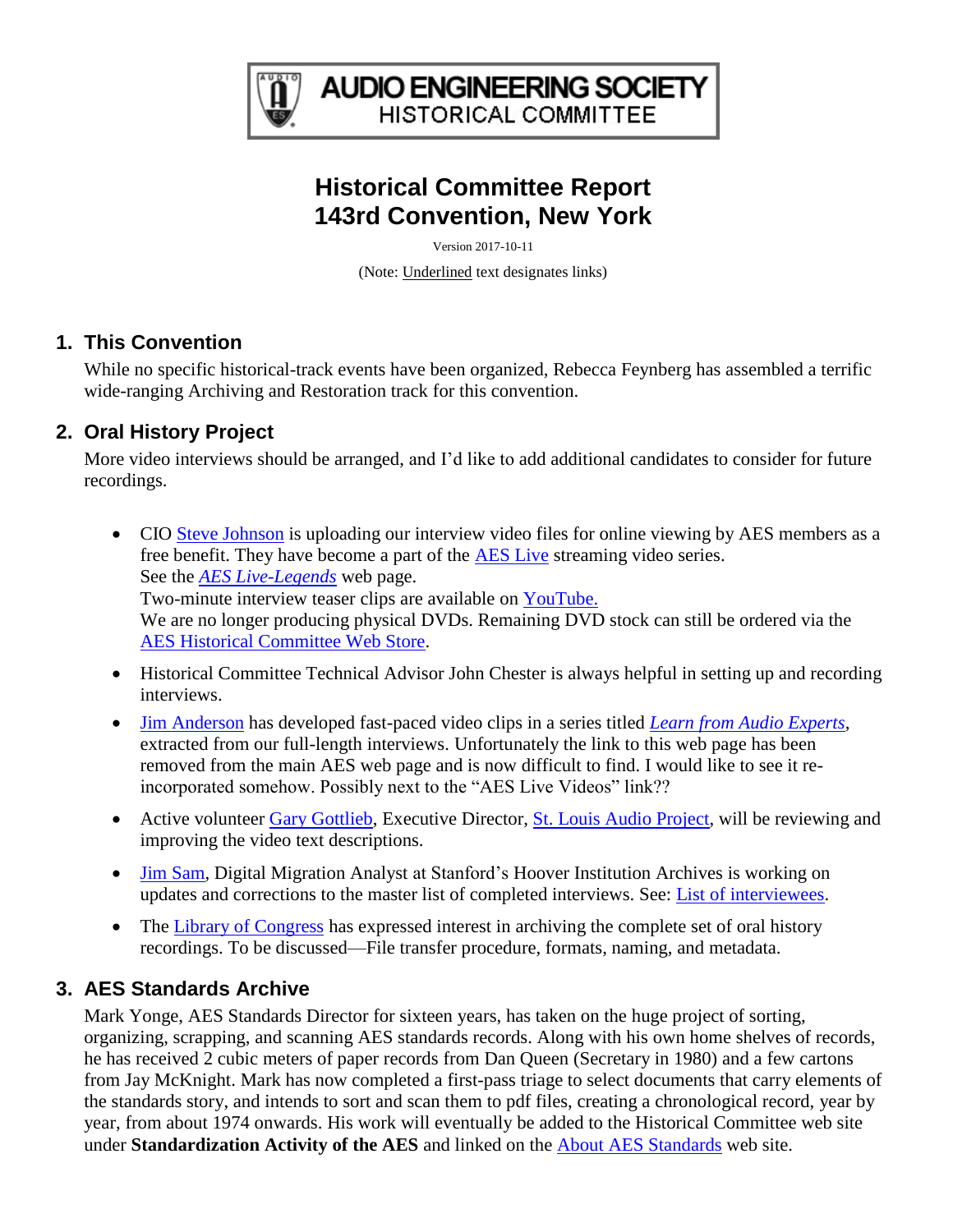

**AUDIO ENGINEERING SOCIETY HISTORICAL COMMITTEE** 

# **Historical Committee Report 143rd Convention, New York**

Version 2017-10-11

(Note: Underlined text designates links)

#### **1. This Convention**

While no specific historical-track events have been organized, Rebecca Feynberg has assembled a terrific wide-ranging Archiving and Restoration track for this convention.

## **2. Oral History Project**

More video interviews should be arranged, and I'd like to add additional candidates to consider for future recordings.

- CIO [Steve Johnson](http://www.aes.org/aes/stevejohnson) is uploading our interview video files for online viewing by AES members as a free benefit. They have become a part of the [AES Live](http://www.aes.org/live/?list=categories) streaming video series. See the *[AES Live-Legends](http://www.aes.org/live/?cat=Legends)* web page. Two-minute interview teaser clips are available on [YouTube.](http://www.youtube.com/results?search_query=AES+Oral+History&aq=f) We are no longer producing physical DVDs. Remaining DVD stock can still be ordered via the [AES Historical Committee Web Store.](http://www.aes.org/historical/store/oralhistory/)
- Historical Committee Technical Advisor John Chester is always helpful in setting up and recording interviews.
- [Jim Anderson](http://www.aes.org/aes/jimanderson) has developed fast-paced video clips in a series titled *[Learn from Audio Experts](http://www.aes.org/historical/oral/)*, extracted from our full-length interviews. Unfortunately the link to this web page has been removed from the main AES web page and is now difficult to find. I would like to see it reincorporated somehow. Possibly next to the "AES Live Videos" link??
- Active volunteer [Gary Gottlieb,](http://www.aes.org/aes/garygottlieb) Executive Director, [St. Louis Audio Project,](http://stlaudio.org/) will be reviewing and improving the video text descriptions.
- [Jim Sam,](http://www.aes.org/aes/jamessam) Digital Migration Analyst at Stanford's Hoover Institution Archives is working on updates and corrections to the master list of completed interviews. See: [List of interviewees.](http://www.aes.org/aeshc/docs/oralhist/interview-list.pdf)
- The [Library of Congress](http://www.loc.gov/preservation/digital/) has expressed interest in archiving the complete set of oral history recordings. To be discussed—File transfer procedure, formats, naming, and metadata.

## **3. AES Standards Archive**

Mark Yonge, AES Standards Director for sixteen years, has taken on the huge project of sorting, organizing, scrapping, and scanning AES standards records. Along with his own home shelves of records, he has received 2 cubic meters of paper records from Dan Queen (Secretary in 1980) and a few cartons from Jay McKnight. Mark has now completed a first-pass triage to select documents that carry elements of the standards story, and intends to sort and scan them to pdf files, creating a chronological record, year by year, from about 1974 onwards. His work will eventually be added to the Historical Committee web site under **Standardization Activity of the AES** and linked on the [About AES Standards](http://www.aes.org/standards/about/) web site.